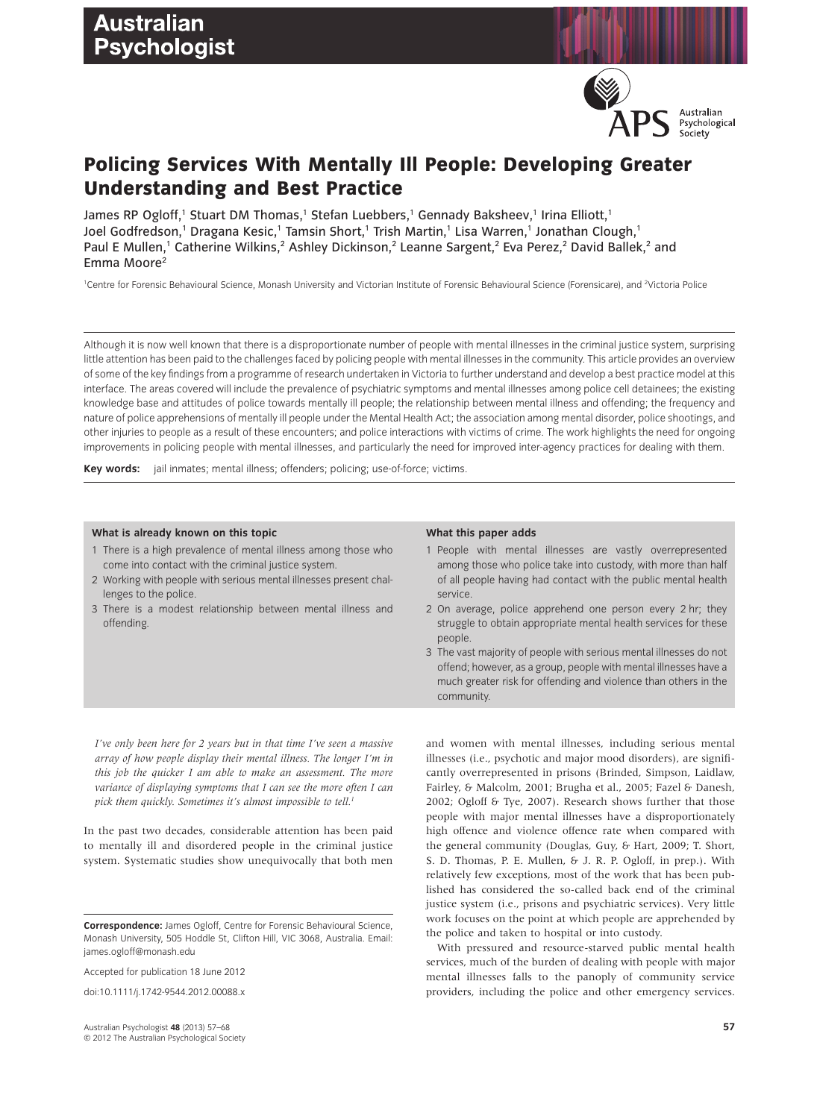

# **Policing Services With Mentally Ill People: Developing Greater Understanding and Best Practice**

James RP Ogloff,<sup>1</sup> Stuart DM Thomas,<sup>1</sup> Stefan Luebbers,<sup>1</sup> Gennady Baksheev,<sup>1</sup> Irina Elliott,<sup>1</sup> Joel Godfredson,<sup>1</sup> Dragana Kesic,<sup>1</sup> Tamsin Short,<sup>1</sup> Trish Martin,<sup>1</sup> Lisa Warren,<sup>1</sup> Jonathan Clough,<sup>1</sup> Paul E Mullen,<sup>1</sup> Catherine Wilkins,<sup>2</sup> Ashley Dickinson,<sup>2</sup> Leanne Sargent,<sup>2</sup> Eva Perez,<sup>2</sup> David Ballek,<sup>2</sup> and Emma Moore2

<sup>1</sup>Centre for Forensic Behavioural Science, Monash University and Victorian Institute of Forensic Behavioural Science (Forensicare), and <sup>2</sup>Victoria Police

Although it is now well known that there is a disproportionate number of people with mental illnesses in the criminal justice system, surprising little attention has been paid to the challenges faced by policing people with mental illnesses in the community. This article provides an overview of some of the key findings from a programme of research undertaken in Victoria to further understand and develop a best practice model at this interface. The areas covered will include the prevalence of psychiatric symptoms and mental illnesses among police cell detainees; the existing knowledge base and attitudes of police towards mentally ill people; the relationship between mental illness and offending; the frequency and nature of police apprehensions of mentally ill people under the Mental Health Act; the association among mental disorder, police shootings, and other injuries to people as a result of these encounters; and police interactions with victims of crime. The work highlights the need for ongoing improvements in policing people with mental illnesses, and particularly the need for improved inter-agency practices for dealing with them.

**Key words:** jail inmates; mental illness; offenders; policing; use-of-force; victims.

### **What is already known on this topic**

- 1 There is a high prevalence of mental illness among those who come into contact with the criminal justice system.
- 2 Working with people with serious mental illnesses present challenges to the police.
- 3 There is a modest relationship between mental illness and offending.

# **What this paper adds**

- 1 People with mental illnesses are vastly overrepresented among those who police take into custody, with more than half of all people having had contact with the public mental health service.
- 2 On average, police apprehend one person every 2 hr; they struggle to obtain appropriate mental health services for these people.
- 3 The vast majority of people with serious mental illnesses do not offend; however, as a group, people with mental illnesses have a much greater risk for offending and violence than others in the community.

*I've only been here for 2 years but in that time I've seen a massive array of how people display their mental illness. The longer I'm in this job the quicker I am able to make an assessment. The more variance of displaying symptoms that I can see the more often I can pick them quickly. Sometimes it's almost impossible to tell.1*

In the past two decades, considerable attention has been paid to mentally ill and disordered people in the criminal justice system. Systematic studies show unequivocally that both men

Accepted for publication 18 June 2012

doi:10.1111/j.1742-9544.2012.00088.x

and women with mental illnesses, including serious mental illnesses (i.e., psychotic and major mood disorders), are significantly overrepresented in prisons (Brinded, Simpson, Laidlaw, Fairley, & Malcolm, 2001; Brugha et al., 2005; Fazel & Danesh, 2002; Ogloff & Tye, 2007). Research shows further that those people with major mental illnesses have a disproportionately high offence and violence offence rate when compared with the general community (Douglas, Guy, & Hart, 2009; T. Short, S. D. Thomas, P. E. Mullen, & J. R. P. Ogloff, in prep.). With relatively few exceptions, most of the work that has been published has considered the so-called back end of the criminal justice system (i.e., prisons and psychiatric services). Very little work focuses on the point at which people are apprehended by the police and taken to hospital or into custody.

With pressured and resource-starved public mental health services, much of the burden of dealing with people with major mental illnesses falls to the panoply of community service providers, including the police and other emergency services.

**Correspondence:** James Ogloff, Centre for Forensic Behavioural Science, Monash University, 505 Hoddle St, Clifton Hill, VIC 3068, Australia. Email: james.ogloff@monash.edu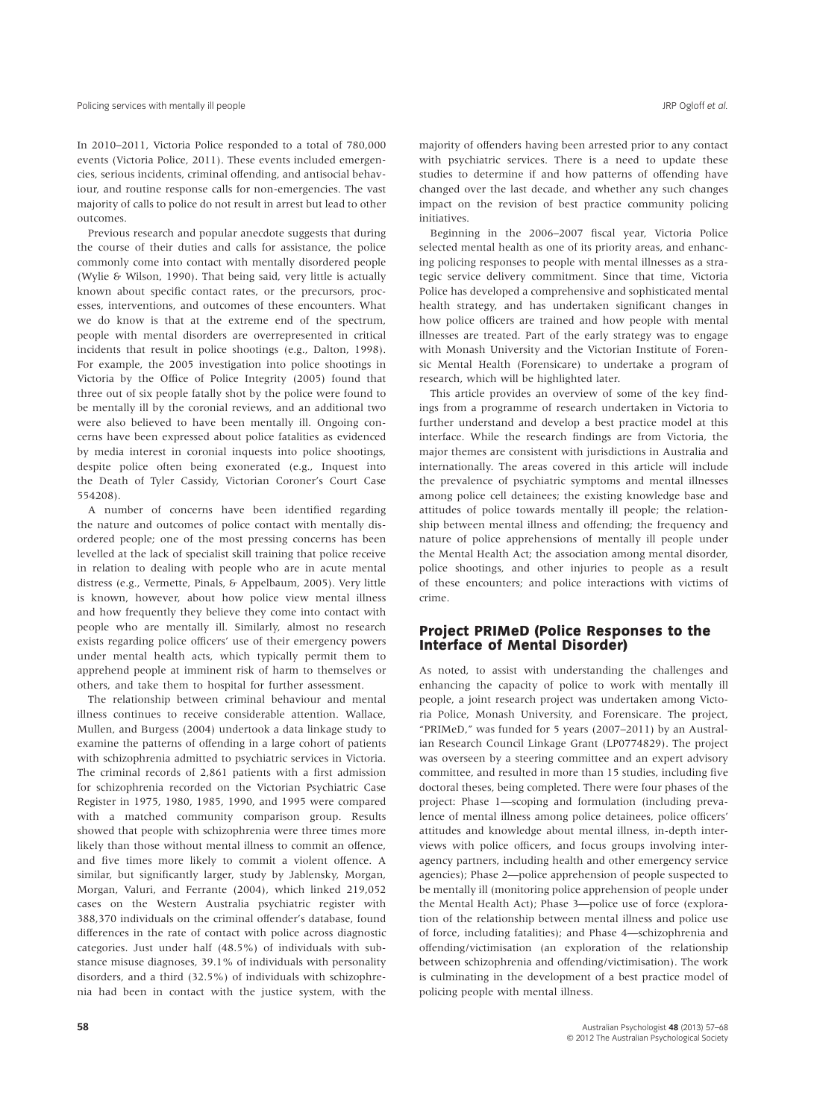In 2010–2011, Victoria Police responded to a total of 780,000 events (Victoria Police, 2011). These events included emergencies, serious incidents, criminal offending, and antisocial behaviour, and routine response calls for non-emergencies. The vast majority of calls to police do not result in arrest but lead to other outcomes.

Previous research and popular anecdote suggests that during the course of their duties and calls for assistance, the police commonly come into contact with mentally disordered people (Wylie & Wilson, 1990). That being said, very little is actually known about specific contact rates, or the precursors, processes, interventions, and outcomes of these encounters. What we do know is that at the extreme end of the spectrum, people with mental disorders are overrepresented in critical incidents that result in police shootings (e.g., Dalton, 1998). For example, the 2005 investigation into police shootings in Victoria by the Office of Police Integrity (2005) found that three out of six people fatally shot by the police were found to be mentally ill by the coronial reviews, and an additional two were also believed to have been mentally ill. Ongoing concerns have been expressed about police fatalities as evidenced by media interest in coronial inquests into police shootings, despite police often being exonerated (e.g., Inquest into the Death of Tyler Cassidy, Victorian Coroner's Court Case 554208).

A number of concerns have been identified regarding the nature and outcomes of police contact with mentally disordered people; one of the most pressing concerns has been levelled at the lack of specialist skill training that police receive in relation to dealing with people who are in acute mental distress (e.g., Vermette, Pinals, & Appelbaum, 2005). Very little is known, however, about how police view mental illness and how frequently they believe they come into contact with people who are mentally ill. Similarly, almost no research exists regarding police officers' use of their emergency powers under mental health acts, which typically permit them to apprehend people at imminent risk of harm to themselves or others, and take them to hospital for further assessment.

The relationship between criminal behaviour and mental illness continues to receive considerable attention. Wallace, Mullen, and Burgess (2004) undertook a data linkage study to examine the patterns of offending in a large cohort of patients with schizophrenia admitted to psychiatric services in Victoria. The criminal records of 2,861 patients with a first admission for schizophrenia recorded on the Victorian Psychiatric Case Register in 1975, 1980, 1985, 1990, and 1995 were compared with a matched community comparison group. Results showed that people with schizophrenia were three times more likely than those without mental illness to commit an offence, and five times more likely to commit a violent offence. A similar, but significantly larger, study by Jablensky, Morgan, Morgan, Valuri, and Ferrante (2004), which linked 219,052 cases on the Western Australia psychiatric register with 388,370 individuals on the criminal offender's database, found differences in the rate of contact with police across diagnostic categories. Just under half (48.5%) of individuals with substance misuse diagnoses, 39.1% of individuals with personality disorders, and a third (32.5%) of individuals with schizophrenia had been in contact with the justice system, with the

majority of offenders having been arrested prior to any contact with psychiatric services. There is a need to update these studies to determine if and how patterns of offending have changed over the last decade, and whether any such changes impact on the revision of best practice community policing initiatives.

Beginning in the 2006–2007 fiscal year, Victoria Police selected mental health as one of its priority areas, and enhancing policing responses to people with mental illnesses as a strategic service delivery commitment. Since that time, Victoria Police has developed a comprehensive and sophisticated mental health strategy, and has undertaken significant changes in how police officers are trained and how people with mental illnesses are treated. Part of the early strategy was to engage with Monash University and the Victorian Institute of Forensic Mental Health (Forensicare) to undertake a program of research, which will be highlighted later.

This article provides an overview of some of the key findings from a programme of research undertaken in Victoria to further understand and develop a best practice model at this interface. While the research findings are from Victoria, the major themes are consistent with jurisdictions in Australia and internationally. The areas covered in this article will include the prevalence of psychiatric symptoms and mental illnesses among police cell detainees; the existing knowledge base and attitudes of police towards mentally ill people; the relationship between mental illness and offending; the frequency and nature of police apprehensions of mentally ill people under the Mental Health Act; the association among mental disorder, police shootings, and other injuries to people as a result of these encounters; and police interactions with victims of crime.

# **Project PRIMeD (Police Responses to the Interface of Mental Disorder)**

As noted, to assist with understanding the challenges and enhancing the capacity of police to work with mentally ill people, a joint research project was undertaken among Victoria Police, Monash University, and Forensicare. The project, "PRIMeD," was funded for 5 years (2007–2011) by an Australian Research Council Linkage Grant (LP0774829). The project was overseen by a steering committee and an expert advisory committee, and resulted in more than 15 studies, including five doctoral theses, being completed. There were four phases of the project: Phase 1—scoping and formulation (including prevalence of mental illness among police detainees, police officers' attitudes and knowledge about mental illness, in-depth interviews with police officers, and focus groups involving interagency partners, including health and other emergency service agencies); Phase 2—police apprehension of people suspected to be mentally ill (monitoring police apprehension of people under the Mental Health Act); Phase 3—police use of force (exploration of the relationship between mental illness and police use of force, including fatalities); and Phase 4—schizophrenia and offending/victimisation (an exploration of the relationship between schizophrenia and offending/victimisation). The work is culminating in the development of a best practice model of policing people with mental illness.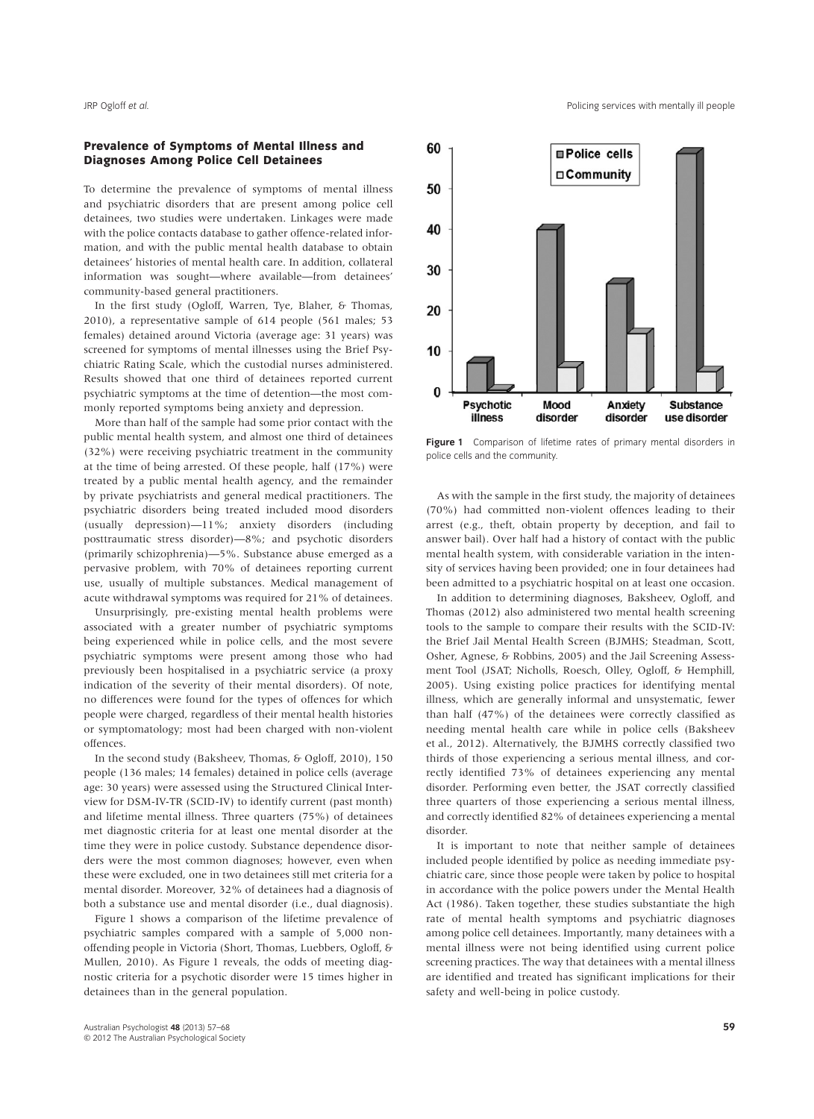#### **Prevalence of Symptoms of Mental Illness and Diagnoses Among Police Cell Detainees**

To determine the prevalence of symptoms of mental illness and psychiatric disorders that are present among police cell detainees, two studies were undertaken. Linkages were made with the police contacts database to gather offence-related information, and with the public mental health database to obtain detainees' histories of mental health care. In addition, collateral information was sought—where available—from detainees' community-based general practitioners.

In the first study (Ogloff, Warren, Tye, Blaher, & Thomas, 2010), a representative sample of 614 people (561 males; 53 females) detained around Victoria (average age: 31 years) was screened for symptoms of mental illnesses using the Brief Psychiatric Rating Scale, which the custodial nurses administered. Results showed that one third of detainees reported current psychiatric symptoms at the time of detention—the most commonly reported symptoms being anxiety and depression.

More than half of the sample had some prior contact with the public mental health system, and almost one third of detainees (32%) were receiving psychiatric treatment in the community at the time of being arrested. Of these people, half (17%) were treated by a public mental health agency, and the remainder by private psychiatrists and general medical practitioners. The psychiatric disorders being treated included mood disorders (usually depression)—11%; anxiety disorders (including posttraumatic stress disorder)—8%; and psychotic disorders (primarily schizophrenia)—5%. Substance abuse emerged as a pervasive problem, with 70% of detainees reporting current use, usually of multiple substances. Medical management of acute withdrawal symptoms was required for 21% of detainees.

Unsurprisingly, pre-existing mental health problems were associated with a greater number of psychiatric symptoms being experienced while in police cells, and the most severe psychiatric symptoms were present among those who had previously been hospitalised in a psychiatric service (a proxy indication of the severity of their mental disorders). Of note, no differences were found for the types of offences for which people were charged, regardless of their mental health histories or symptomatology; most had been charged with non-violent offences.

In the second study (Baksheev, Thomas, & Ogloff, 2010), 150 people (136 males; 14 females) detained in police cells (average age: 30 years) were assessed using the Structured Clinical Interview for DSM-IV-TR (SCID-IV) to identify current (past month) and lifetime mental illness. Three quarters (75%) of detainees met diagnostic criteria for at least one mental disorder at the time they were in police custody. Substance dependence disorders were the most common diagnoses; however, even when these were excluded, one in two detainees still met criteria for a mental disorder. Moreover, 32% of detainees had a diagnosis of both a substance use and mental disorder (i.e., dual diagnosis).

Figure 1 shows a comparison of the lifetime prevalence of psychiatric samples compared with a sample of 5,000 nonoffending people in Victoria (Short, Thomas, Luebbers, Ogloff, & Mullen, 2010). As Figure 1 reveals, the odds of meeting diagnostic criteria for a psychotic disorder were 15 times higher in detainees than in the general population.



**Figure 1** Comparison of lifetime rates of primary mental disorders in police cells and the community.

As with the sample in the first study, the majority of detainees (70%) had committed non-violent offences leading to their arrest (e.g., theft, obtain property by deception, and fail to answer bail). Over half had a history of contact with the public mental health system, with considerable variation in the intensity of services having been provided; one in four detainees had been admitted to a psychiatric hospital on at least one occasion.

In addition to determining diagnoses, Baksheev, Ogloff, and Thomas (2012) also administered two mental health screening tools to the sample to compare their results with the SCID-IV: the Brief Jail Mental Health Screen (BJMHS; Steadman, Scott, Osher, Agnese, & Robbins, 2005) and the Jail Screening Assessment Tool (JSAT; Nicholls, Roesch, Olley, Ogloff, & Hemphill, 2005). Using existing police practices for identifying mental illness, which are generally informal and unsystematic, fewer than half (47%) of the detainees were correctly classified as needing mental health care while in police cells (Baksheev et al., 2012). Alternatively, the BJMHS correctly classified two thirds of those experiencing a serious mental illness, and correctly identified 73% of detainees experiencing any mental disorder. Performing even better, the JSAT correctly classified three quarters of those experiencing a serious mental illness, and correctly identified 82% of detainees experiencing a mental disorder.

It is important to note that neither sample of detainees included people identified by police as needing immediate psychiatric care, since those people were taken by police to hospital in accordance with the police powers under the Mental Health Act (1986). Taken together, these studies substantiate the high rate of mental health symptoms and psychiatric diagnoses among police cell detainees. Importantly, many detainees with a mental illness were not being identified using current police screening practices. The way that detainees with a mental illness are identified and treated has significant implications for their safety and well-being in police custody.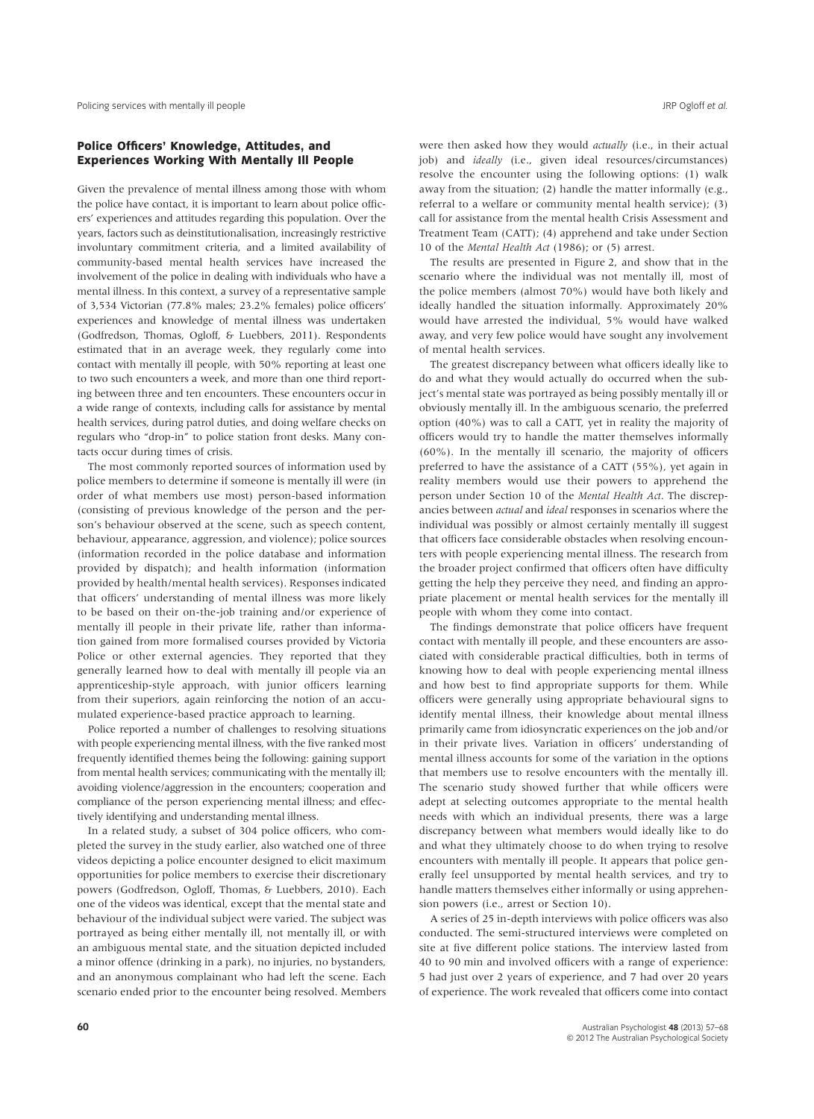### **Police Officers' Knowledge, Attitudes, and Experiences Working With Mentally Ill People**

Given the prevalence of mental illness among those with whom the police have contact, it is important to learn about police officers' experiences and attitudes regarding this population. Over the years, factors such as deinstitutionalisation, increasingly restrictive involuntary commitment criteria, and a limited availability of community-based mental health services have increased the involvement of the police in dealing with individuals who have a mental illness. In this context, a survey of a representative sample of 3,534 Victorian (77.8% males; 23.2% females) police officers' experiences and knowledge of mental illness was undertaken (Godfredson, Thomas, Ogloff, & Luebbers, 2011). Respondents estimated that in an average week, they regularly come into contact with mentally ill people, with 50% reporting at least one to two such encounters a week, and more than one third reporting between three and ten encounters. These encounters occur in a wide range of contexts, including calls for assistance by mental health services, during patrol duties, and doing welfare checks on regulars who "drop-in" to police station front desks. Many contacts occur during times of crisis.

The most commonly reported sources of information used by police members to determine if someone is mentally ill were (in order of what members use most) person-based information (consisting of previous knowledge of the person and the person's behaviour observed at the scene, such as speech content, behaviour, appearance, aggression, and violence); police sources (information recorded in the police database and information provided by dispatch); and health information (information provided by health/mental health services). Responses indicated that officers' understanding of mental illness was more likely to be based on their on-the-job training and/or experience of mentally ill people in their private life, rather than information gained from more formalised courses provided by Victoria Police or other external agencies. They reported that they generally learned how to deal with mentally ill people via an apprenticeship-style approach, with junior officers learning from their superiors, again reinforcing the notion of an accumulated experience-based practice approach to learning.

Police reported a number of challenges to resolving situations with people experiencing mental illness, with the five ranked most frequently identified themes being the following: gaining support from mental health services; communicating with the mentally ill; avoiding violence/aggression in the encounters; cooperation and compliance of the person experiencing mental illness; and effectively identifying and understanding mental illness.

In a related study, a subset of 304 police officers, who completed the survey in the study earlier, also watched one of three videos depicting a police encounter designed to elicit maximum opportunities for police members to exercise their discretionary powers (Godfredson, Ogloff, Thomas, & Luebbers, 2010). Each one of the videos was identical, except that the mental state and behaviour of the individual subject were varied. The subject was portrayed as being either mentally ill, not mentally ill, or with an ambiguous mental state, and the situation depicted included a minor offence (drinking in a park), no injuries, no bystanders, and an anonymous complainant who had left the scene. Each scenario ended prior to the encounter being resolved. Members

were then asked how they would *actually* (i.e., in their actual job) and *ideally* (i.e., given ideal resources/circumstances) resolve the encounter using the following options: (1) walk away from the situation; (2) handle the matter informally (e.g., referral to a welfare or community mental health service); (3) call for assistance from the mental health Crisis Assessment and Treatment Team (CATT); (4) apprehend and take under Section 10 of the *Mental Health Act* (1986); or (5) arrest.

The results are presented in Figure 2, and show that in the scenario where the individual was not mentally ill, most of the police members (almost 70%) would have both likely and ideally handled the situation informally. Approximately 20% would have arrested the individual, 5% would have walked away, and very few police would have sought any involvement of mental health services.

The greatest discrepancy between what officers ideally like to do and what they would actually do occurred when the subject's mental state was portrayed as being possibly mentally ill or obviously mentally ill. In the ambiguous scenario, the preferred option (40%) was to call a CATT, yet in reality the majority of officers would try to handle the matter themselves informally (60%). In the mentally ill scenario, the majority of officers preferred to have the assistance of a CATT (55%), yet again in reality members would use their powers to apprehend the person under Section 10 of the *Mental Health Act*. The discrepancies between *actual* and *ideal* responses in scenarios where the individual was possibly or almost certainly mentally ill suggest that officers face considerable obstacles when resolving encounters with people experiencing mental illness. The research from the broader project confirmed that officers often have difficulty getting the help they perceive they need, and finding an appropriate placement or mental health services for the mentally ill people with whom they come into contact.

The findings demonstrate that police officers have frequent contact with mentally ill people, and these encounters are associated with considerable practical difficulties, both in terms of knowing how to deal with people experiencing mental illness and how best to find appropriate supports for them. While officers were generally using appropriate behavioural signs to identify mental illness, their knowledge about mental illness primarily came from idiosyncratic experiences on the job and/or in their private lives. Variation in officers' understanding of mental illness accounts for some of the variation in the options that members use to resolve encounters with the mentally ill. The scenario study showed further that while officers were adept at selecting outcomes appropriate to the mental health needs with which an individual presents, there was a large discrepancy between what members would ideally like to do and what they ultimately choose to do when trying to resolve encounters with mentally ill people. It appears that police generally feel unsupported by mental health services, and try to handle matters themselves either informally or using apprehension powers (i.e., arrest or Section 10).

A series of 25 in-depth interviews with police officers was also conducted. The semi-structured interviews were completed on site at five different police stations. The interview lasted from 40 to 90 min and involved officers with a range of experience: 5 had just over 2 years of experience, and 7 had over 20 years of experience. The work revealed that officers come into contact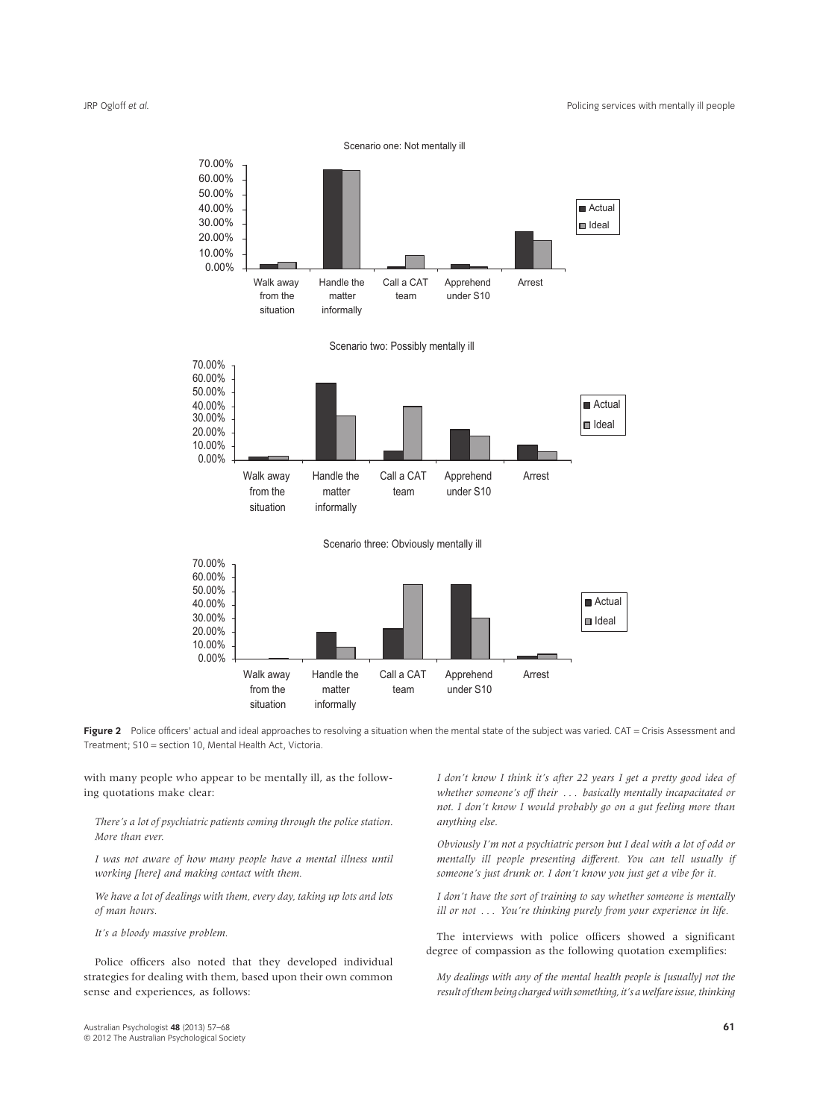

Figure 2 Police officers' actual and ideal approaches to resolving a situation when the mental state of the subject was varied. CAT = Crisis Assessment and Treatment; S10 = section 10, Mental Health Act, Victoria.

with many people who appear to be mentally ill, as the following quotations make clear:

*There's a lot of psychiatric patients coming through the police station. More than ever.*

*I was not aware of how many people have a mental illness until working [here] and making contact with them.*

*We have a lot of dealings with them, every day, taking up lots and lots of man hours.*

*It's a bloody massive problem.*

Police officers also noted that they developed individual strategies for dealing with them, based upon their own common sense and experiences, as follows:

*I don't know I think it's after 22 years I get a pretty good idea of whether someone's off their . . . basically mentally incapacitated or not. I don't know I would probably go on a gut feeling more than anything else.*

*Obviously I'm not a psychiatric person but I deal with a lot of odd or mentally ill people presenting different. You can tell usually if someone's just drunk or. I don't know you just get a vibe for it.*

*I don't have the sort of training to say whether someone is mentally ill or not . . . You're thinking purely from your experience in life.*

The interviews with police officers showed a significant degree of compassion as the following quotation exemplifies:

*My dealings with any of the mental health people is [usually] not the result of them being charged with something, it's a welfare issue, thinking*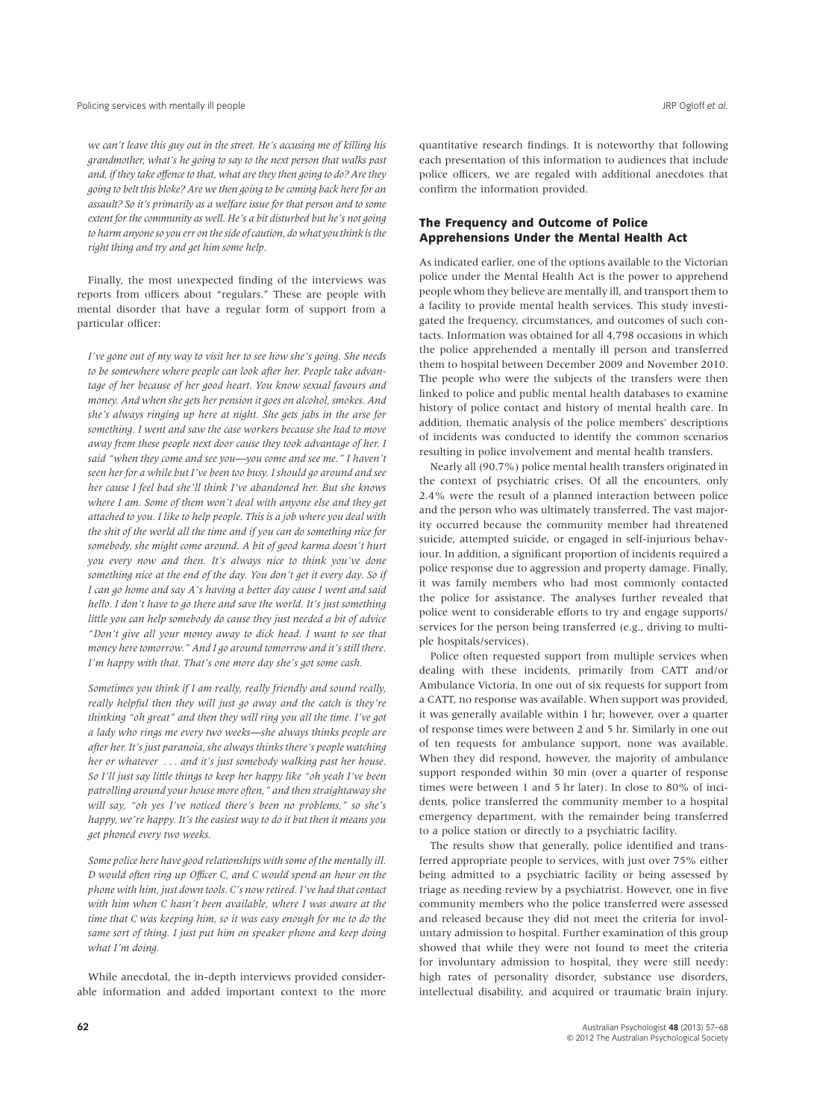*we can't leave this guy out in the street. He's accusing me of killing his grandmother, what's he going to say to the next person that walks past and, if they take offence to that, what are they then going to do? Are they going to belt this bloke? Are we then going to be coming back here for an assault? So it's primarily as a welfare issue for that person and to some extent for the community as well. He's a bit disturbed but he's not going to harm anyone so you err on the side of caution, do what you think is the right thing and try and get him some help.*

Finally, the most unexpected finding of the interviews was reports from officers about "regulars." These are people with mental disorder that have a regular form of support from a particular officer:

*I've gone out of my way to visit her to see how she's going. She needs to be somewhere where people can look after her. People take advantage of her because of her good heart. You know sexual favours and money. And when she gets her pension it goes on alcohol, smokes. And she's always ringing up here at night. She gets jabs in the arse for something. I went and saw the case workers because she had to move away from these people next door cause they took advantage of her. I said "when they come and see you—you come and see me." I haven't seen her for a while but I've been too busy. I should go around and see her cause I feel bad she'll think I've abandoned her. But she knows where I am. Some of them won't deal with anyone else and they get attached to you. I like to help people. This is a job where you deal with the shit of the world all the time and if you can do something nice for somebody, she might come around. A bit of good karma doesn't hurt you every now and then. It's always nice to think you've done something nice at the end of the day. You don't get it every day. So if I can go home and say A's having a better day cause I went and said hello. I don't have to go there and save the world. It's just something little you can help somebody do cause they just needed a bit of advice "Don't give all your money away to dick head. I want to see that money here tomorrow." And I go around tomorrow and it's still there. I'm happy with that. That's one more day she's got some cash.*

*Sometimes you think if I am really, really friendly and sound really, really helpful then they will just go away and the catch is they're thinking "oh great" and then they will ring you all the time. I've got a lady who rings me every two weeks—she always thinks people are after her. It's just paranoia, she always thinks there's people watching her or whatever . . . and it's just somebody walking past her house. So I'll just say little things to keep her happy like "oh yeah I've been patrolling around your house more often," and then straightaway she will say, "oh yes I've noticed there's been no problems," so she's happy, we're happy. It's the easiest way to do it but then it means you get phoned every two weeks.*

*Some police here have good relationships with some of the mentally ill. D would often ring up Officer C, and C would spend an hour on the phone with him, just down tools. C's now retired. I've had that contact with him when C hasn't been available, where I was aware at the time that C was keeping him, so it was easy enough for me to do the same sort of thing. I just put him on speaker phone and keep doing what I'm doing.*

While anecdotal, the in-depth interviews provided considerable information and added important context to the more

quantitative research findings. It is noteworthy that following each presentation of this information to audiences that include police officers, we are regaled with additional anecdotes that confirm the information provided.

## **The Frequency and Outcome of Police Apprehensions Under the Mental Health Act**

As indicated earlier, one of the options available to the Victorian police under the Mental Health Act is the power to apprehend people whom they believe are mentally ill, and transport them to a facility to provide mental health services. This study investigated the frequency, circumstances, and outcomes of such contacts. Information was obtained for all 4,798 occasions in which the police apprehended a mentally ill person and transferred them to hospital between December 2009 and November 2010. The people who were the subjects of the transfers were then linked to police and public mental health databases to examine history of police contact and history of mental health care. In addition, thematic analysis of the police members' descriptions of incidents was conducted to identify the common scenarios resulting in police involvement and mental health transfers.

Nearly all (90.7%) police mental health transfers originated in the context of psychiatric crises. Of all the encounters, only 2.4% were the result of a planned interaction between police and the person who was ultimately transferred. The vast majority occurred because the community member had threatened suicide, attempted suicide, or engaged in self-injurious behaviour. In addition, a significant proportion of incidents required a police response due to aggression and property damage. Finally, it was family members who had most commonly contacted the police for assistance. The analyses further revealed that police went to considerable efforts to try and engage supports/ services for the person being transferred (e.g., driving to multiple hospitals/services).

Police often requested support from multiple services when dealing with these incidents, primarily from CATT and/or Ambulance Victoria. In one out of six requests for support from a CATT, no response was available. When support was provided, it was generally available within 1 hr; however, over a quarter of response times were between 2 and 5 hr. Similarly in one out of ten requests for ambulance support, none was available. When they did respond, however, the majority of ambulance support responded within 30 min (over a quarter of response times were between 1 and 5 hr later). In close to 80% of incidents, police transferred the community member to a hospital emergency department, with the remainder being transferred to a police station or directly to a psychiatric facility.

The results show that generally, police identified and transferred appropriate people to services, with just over 75% either being admitted to a psychiatric facility or being assessed by triage as needing review by a psychiatrist. However, one in five community members who the police transferred were assessed and released because they did not meet the criteria for involuntary admission to hospital. Further examination of this group showed that while they were not found to meet the criteria for involuntary admission to hospital, they were still needy: high rates of personality disorder, substance use disorders, intellectual disability, and acquired or traumatic brain injury.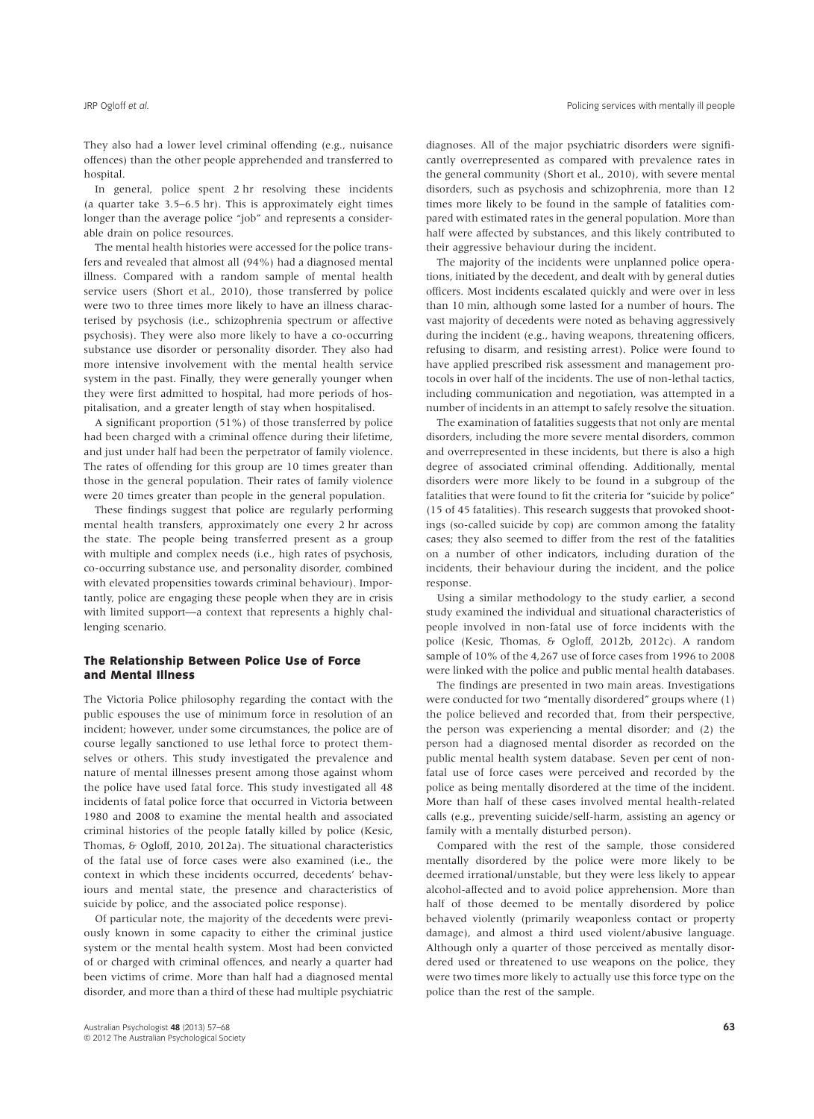They also had a lower level criminal offending (e.g., nuisance offences) than the other people apprehended and transferred to hospital.

In general, police spent 2 hr resolving these incidents (a quarter take 3.5–6.5 hr). This is approximately eight times longer than the average police "job" and represents a considerable drain on police resources.

The mental health histories were accessed for the police transfers and revealed that almost all (94%) had a diagnosed mental illness. Compared with a random sample of mental health service users (Short et al., 2010), those transferred by police were two to three times more likely to have an illness characterised by psychosis (i.e., schizophrenia spectrum or affective psychosis). They were also more likely to have a co-occurring substance use disorder or personality disorder. They also had more intensive involvement with the mental health service system in the past. Finally, they were generally younger when they were first admitted to hospital, had more periods of hospitalisation, and a greater length of stay when hospitalised.

A significant proportion (51%) of those transferred by police had been charged with a criminal offence during their lifetime, and just under half had been the perpetrator of family violence. The rates of offending for this group are 10 times greater than those in the general population. Their rates of family violence were 20 times greater than people in the general population.

These findings suggest that police are regularly performing mental health transfers, approximately one every 2 hr across the state. The people being transferred present as a group with multiple and complex needs (i.e., high rates of psychosis, co-occurring substance use, and personality disorder, combined with elevated propensities towards criminal behaviour). Importantly, police are engaging these people when they are in crisis with limited support—a context that represents a highly challenging scenario.

# **The Relationship Between Police Use of Force and Mental Illness**

The Victoria Police philosophy regarding the contact with the public espouses the use of minimum force in resolution of an incident; however, under some circumstances, the police are of course legally sanctioned to use lethal force to protect themselves or others. This study investigated the prevalence and nature of mental illnesses present among those against whom the police have used fatal force. This study investigated all 48 incidents of fatal police force that occurred in Victoria between 1980 and 2008 to examine the mental health and associated criminal histories of the people fatally killed by police (Kesic, Thomas, & Ogloff, 2010, 2012a). The situational characteristics of the fatal use of force cases were also examined (i.e., the context in which these incidents occurred, decedents' behaviours and mental state, the presence and characteristics of suicide by police, and the associated police response).

Of particular note, the majority of the decedents were previously known in some capacity to either the criminal justice system or the mental health system. Most had been convicted of or charged with criminal offences, and nearly a quarter had been victims of crime. More than half had a diagnosed mental disorder, and more than a third of these had multiple psychiatric diagnoses. All of the major psychiatric disorders were significantly overrepresented as compared with prevalence rates in the general community (Short et al., 2010), with severe mental disorders, such as psychosis and schizophrenia, more than 12 times more likely to be found in the sample of fatalities compared with estimated rates in the general population. More than half were affected by substances, and this likely contributed to their aggressive behaviour during the incident.

The majority of the incidents were unplanned police operations, initiated by the decedent, and dealt with by general duties officers. Most incidents escalated quickly and were over in less than 10 min, although some lasted for a number of hours. The vast majority of decedents were noted as behaving aggressively during the incident (e.g., having weapons, threatening officers, refusing to disarm, and resisting arrest). Police were found to have applied prescribed risk assessment and management protocols in over half of the incidents. The use of non-lethal tactics, including communication and negotiation, was attempted in a number of incidents in an attempt to safely resolve the situation.

The examination of fatalities suggests that not only are mental disorders, including the more severe mental disorders, common and overrepresented in these incidents, but there is also a high degree of associated criminal offending. Additionally, mental disorders were more likely to be found in a subgroup of the fatalities that were found to fit the criteria for "suicide by police" (15 of 45 fatalities). This research suggests that provoked shootings (so-called suicide by cop) are common among the fatality cases; they also seemed to differ from the rest of the fatalities on a number of other indicators, including duration of the incidents, their behaviour during the incident, and the police response.

Using a similar methodology to the study earlier, a second study examined the individual and situational characteristics of people involved in non-fatal use of force incidents with the police (Kesic, Thomas, & Ogloff, 2012b, 2012c). A random sample of 10% of the 4,267 use of force cases from 1996 to 2008 were linked with the police and public mental health databases.

The findings are presented in two main areas. Investigations were conducted for two "mentally disordered" groups where (1) the police believed and recorded that, from their perspective, the person was experiencing a mental disorder; and (2) the person had a diagnosed mental disorder as recorded on the public mental health system database. Seven per cent of nonfatal use of force cases were perceived and recorded by the police as being mentally disordered at the time of the incident. More than half of these cases involved mental health-related calls (e.g., preventing suicide/self-harm, assisting an agency or family with a mentally disturbed person).

Compared with the rest of the sample, those considered mentally disordered by the police were more likely to be deemed irrational/unstable, but they were less likely to appear alcohol-affected and to avoid police apprehension. More than half of those deemed to be mentally disordered by police behaved violently (primarily weaponless contact or property damage), and almost a third used violent/abusive language. Although only a quarter of those perceived as mentally disordered used or threatened to use weapons on the police, they were two times more likely to actually use this force type on the police than the rest of the sample.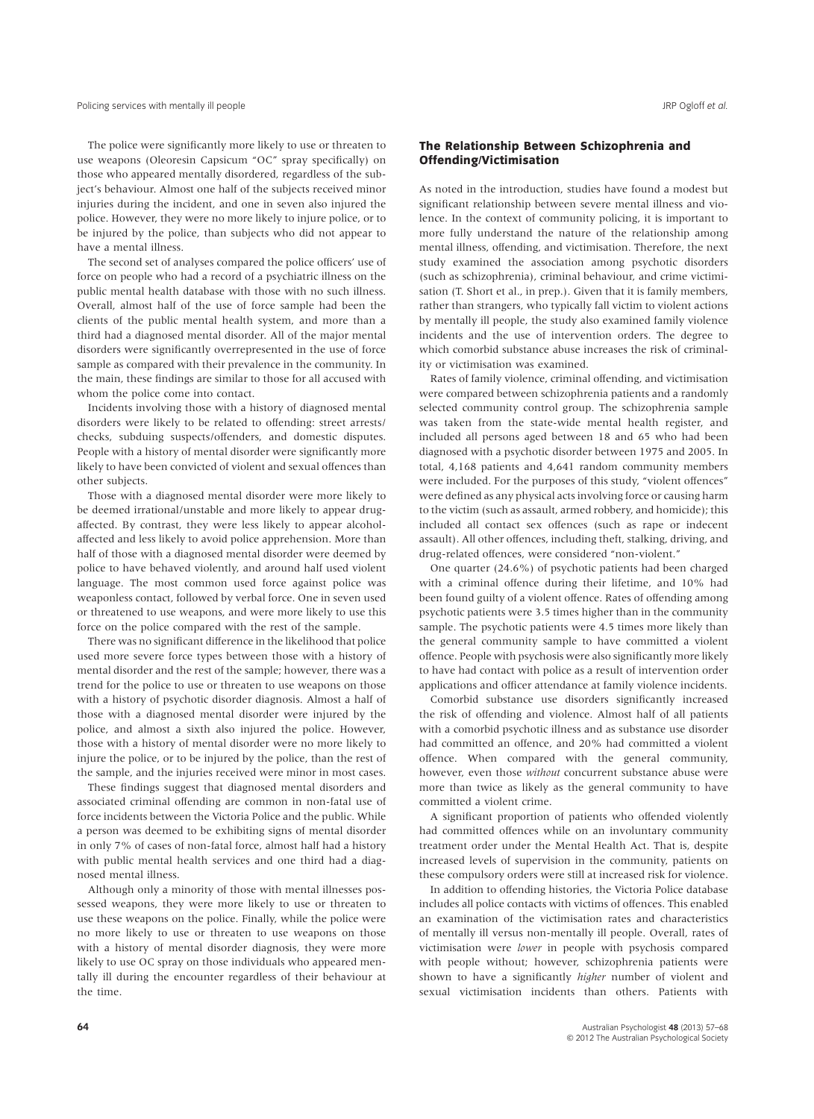The police were significantly more likely to use or threaten to use weapons (Oleoresin Capsicum "OC" spray specifically) on those who appeared mentally disordered, regardless of the subject's behaviour. Almost one half of the subjects received minor injuries during the incident, and one in seven also injured the police. However, they were no more likely to injure police, or to be injured by the police, than subjects who did not appear to have a mental illness.

The second set of analyses compared the police officers' use of force on people who had a record of a psychiatric illness on the public mental health database with those with no such illness. Overall, almost half of the use of force sample had been the clients of the public mental health system, and more than a third had a diagnosed mental disorder. All of the major mental disorders were significantly overrepresented in the use of force sample as compared with their prevalence in the community. In the main, these findings are similar to those for all accused with whom the police come into contact.

Incidents involving those with a history of diagnosed mental disorders were likely to be related to offending: street arrests/ checks, subduing suspects/offenders, and domestic disputes. People with a history of mental disorder were significantly more likely to have been convicted of violent and sexual offences than other subjects.

Those with a diagnosed mental disorder were more likely to be deemed irrational/unstable and more likely to appear drugaffected. By contrast, they were less likely to appear alcoholaffected and less likely to avoid police apprehension. More than half of those with a diagnosed mental disorder were deemed by police to have behaved violently, and around half used violent language. The most common used force against police was weaponless contact, followed by verbal force. One in seven used or threatened to use weapons, and were more likely to use this force on the police compared with the rest of the sample.

There was no significant difference in the likelihood that police used more severe force types between those with a history of mental disorder and the rest of the sample; however, there was a trend for the police to use or threaten to use weapons on those with a history of psychotic disorder diagnosis. Almost a half of those with a diagnosed mental disorder were injured by the police, and almost a sixth also injured the police. However, those with a history of mental disorder were no more likely to injure the police, or to be injured by the police, than the rest of the sample, and the injuries received were minor in most cases.

These findings suggest that diagnosed mental disorders and associated criminal offending are common in non-fatal use of force incidents between the Victoria Police and the public. While a person was deemed to be exhibiting signs of mental disorder in only 7% of cases of non-fatal force, almost half had a history with public mental health services and one third had a diagnosed mental illness.

Although only a minority of those with mental illnesses possessed weapons, they were more likely to use or threaten to use these weapons on the police. Finally, while the police were no more likely to use or threaten to use weapons on those with a history of mental disorder diagnosis, they were more likely to use OC spray on those individuals who appeared mentally ill during the encounter regardless of their behaviour at the time.

### **The Relationship Between Schizophrenia and Offending/Victimisation**

As noted in the introduction, studies have found a modest but significant relationship between severe mental illness and violence. In the context of community policing, it is important to more fully understand the nature of the relationship among mental illness, offending, and victimisation. Therefore, the next study examined the association among psychotic disorders (such as schizophrenia), criminal behaviour, and crime victimisation (T. Short et al., in prep.). Given that it is family members, rather than strangers, who typically fall victim to violent actions by mentally ill people, the study also examined family violence incidents and the use of intervention orders. The degree to which comorbid substance abuse increases the risk of criminality or victimisation was examined.

Rates of family violence, criminal offending, and victimisation were compared between schizophrenia patients and a randomly selected community control group. The schizophrenia sample was taken from the state-wide mental health register, and included all persons aged between 18 and 65 who had been diagnosed with a psychotic disorder between 1975 and 2005. In total, 4,168 patients and 4,641 random community members were included. For the purposes of this study, "violent offences" were defined as any physical acts involving force or causing harm to the victim (such as assault, armed robbery, and homicide); this included all contact sex offences (such as rape or indecent assault). All other offences, including theft, stalking, driving, and drug-related offences, were considered "non-violent."

One quarter (24.6%) of psychotic patients had been charged with a criminal offence during their lifetime, and 10% had been found guilty of a violent offence. Rates of offending among psychotic patients were 3.5 times higher than in the community sample. The psychotic patients were 4.5 times more likely than the general community sample to have committed a violent offence. People with psychosis were also significantly more likely to have had contact with police as a result of intervention order applications and officer attendance at family violence incidents.

Comorbid substance use disorders significantly increased the risk of offending and violence. Almost half of all patients with a comorbid psychotic illness and as substance use disorder had committed an offence, and 20% had committed a violent offence. When compared with the general community, however, even those *without* concurrent substance abuse were more than twice as likely as the general community to have committed a violent crime.

A significant proportion of patients who offended violently had committed offences while on an involuntary community treatment order under the Mental Health Act. That is, despite increased levels of supervision in the community, patients on these compulsory orders were still at increased risk for violence.

In addition to offending histories, the Victoria Police database includes all police contacts with victims of offences. This enabled an examination of the victimisation rates and characteristics of mentally ill versus non-mentally ill people. Overall, rates of victimisation were *lower* in people with psychosis compared with people without; however, schizophrenia patients were shown to have a significantly *higher* number of violent and sexual victimisation incidents than others. Patients with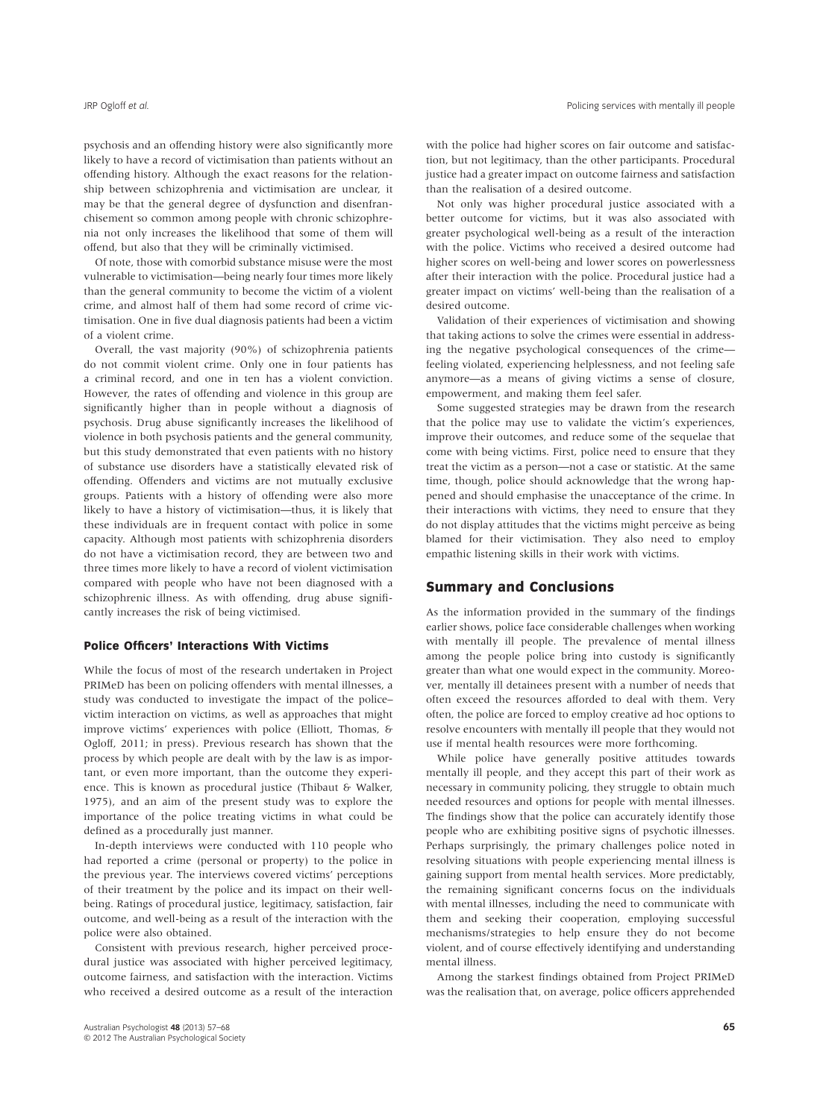psychosis and an offending history were also significantly more likely to have a record of victimisation than patients without an offending history. Although the exact reasons for the relationship between schizophrenia and victimisation are unclear, it may be that the general degree of dysfunction and disenfranchisement so common among people with chronic schizophrenia not only increases the likelihood that some of them will offend, but also that they will be criminally victimised.

Of note, those with comorbid substance misuse were the most vulnerable to victimisation—being nearly four times more likely than the general community to become the victim of a violent crime, and almost half of them had some record of crime victimisation. One in five dual diagnosis patients had been a victim of a violent crime.

Overall, the vast majority (90%) of schizophrenia patients do not commit violent crime. Only one in four patients has a criminal record, and one in ten has a violent conviction. However, the rates of offending and violence in this group are significantly higher than in people without a diagnosis of psychosis. Drug abuse significantly increases the likelihood of violence in both psychosis patients and the general community, but this study demonstrated that even patients with no history of substance use disorders have a statistically elevated risk of offending. Offenders and victims are not mutually exclusive groups. Patients with a history of offending were also more likely to have a history of victimisation—thus, it is likely that these individuals are in frequent contact with police in some capacity. Although most patients with schizophrenia disorders do not have a victimisation record, they are between two and three times more likely to have a record of violent victimisation compared with people who have not been diagnosed with a schizophrenic illness. As with offending, drug abuse significantly increases the risk of being victimised.

#### **Police Officers' Interactions With Victims**

While the focus of most of the research undertaken in Project PRIMeD has been on policing offenders with mental illnesses, a study was conducted to investigate the impact of the police– victim interaction on victims, as well as approaches that might improve victims' experiences with police (Elliott, Thomas, & Ogloff, 2011; in press). Previous research has shown that the process by which people are dealt with by the law is as important, or even more important, than the outcome they experience. This is known as procedural justice (Thibaut & Walker, 1975), and an aim of the present study was to explore the importance of the police treating victims in what could be defined as a procedurally just manner.

In-depth interviews were conducted with 110 people who had reported a crime (personal or property) to the police in the previous year. The interviews covered victims' perceptions of their treatment by the police and its impact on their wellbeing. Ratings of procedural justice, legitimacy, satisfaction, fair outcome, and well-being as a result of the interaction with the police were also obtained.

Consistent with previous research, higher perceived procedural justice was associated with higher perceived legitimacy, outcome fairness, and satisfaction with the interaction. Victims who received a desired outcome as a result of the interaction

with the police had higher scores on fair outcome and satisfaction, but not legitimacy, than the other participants. Procedural justice had a greater impact on outcome fairness and satisfaction than the realisation of a desired outcome.

Not only was higher procedural justice associated with a better outcome for victims, but it was also associated with greater psychological well-being as a result of the interaction with the police. Victims who received a desired outcome had higher scores on well-being and lower scores on powerlessness after their interaction with the police. Procedural justice had a greater impact on victims' well-being than the realisation of a desired outcome.

Validation of their experiences of victimisation and showing that taking actions to solve the crimes were essential in addressing the negative psychological consequences of the crime feeling violated, experiencing helplessness, and not feeling safe anymore—as a means of giving victims a sense of closure, empowerment, and making them feel safer.

Some suggested strategies may be drawn from the research that the police may use to validate the victim's experiences, improve their outcomes, and reduce some of the sequelae that come with being victims. First, police need to ensure that they treat the victim as a person—not a case or statistic. At the same time, though, police should acknowledge that the wrong happened and should emphasise the unacceptance of the crime. In their interactions with victims, they need to ensure that they do not display attitudes that the victims might perceive as being blamed for their victimisation. They also need to employ empathic listening skills in their work with victims.

# **Summary and Conclusions**

As the information provided in the summary of the findings earlier shows, police face considerable challenges when working with mentally ill people. The prevalence of mental illness among the people police bring into custody is significantly greater than what one would expect in the community. Moreover, mentally ill detainees present with a number of needs that often exceed the resources afforded to deal with them. Very often, the police are forced to employ creative ad hoc options to resolve encounters with mentally ill people that they would not use if mental health resources were more forthcoming.

While police have generally positive attitudes towards mentally ill people, and they accept this part of their work as necessary in community policing, they struggle to obtain much needed resources and options for people with mental illnesses. The findings show that the police can accurately identify those people who are exhibiting positive signs of psychotic illnesses. Perhaps surprisingly, the primary challenges police noted in resolving situations with people experiencing mental illness is gaining support from mental health services. More predictably, the remaining significant concerns focus on the individuals with mental illnesses, including the need to communicate with them and seeking their cooperation, employing successful mechanisms/strategies to help ensure they do not become violent, and of course effectively identifying and understanding mental illness.

Among the starkest findings obtained from Project PRIMeD was the realisation that, on average, police officers apprehended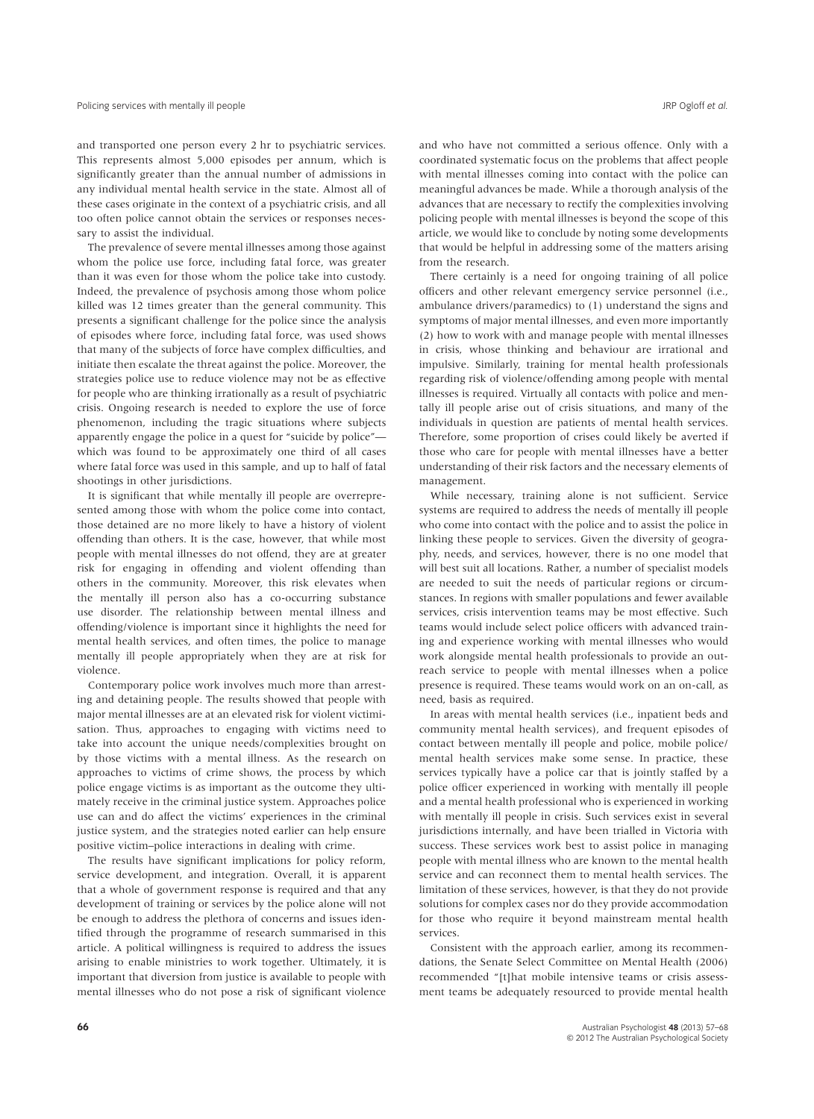and transported one person every 2 hr to psychiatric services. This represents almost 5,000 episodes per annum, which is significantly greater than the annual number of admissions in any individual mental health service in the state. Almost all of these cases originate in the context of a psychiatric crisis, and all too often police cannot obtain the services or responses necessary to assist the individual.

The prevalence of severe mental illnesses among those against whom the police use force, including fatal force, was greater than it was even for those whom the police take into custody. Indeed, the prevalence of psychosis among those whom police killed was 12 times greater than the general community. This presents a significant challenge for the police since the analysis of episodes where force, including fatal force, was used shows that many of the subjects of force have complex difficulties, and initiate then escalate the threat against the police. Moreover, the strategies police use to reduce violence may not be as effective for people who are thinking irrationally as a result of psychiatric crisis. Ongoing research is needed to explore the use of force phenomenon, including the tragic situations where subjects apparently engage the police in a quest for "suicide by police" which was found to be approximately one third of all cases where fatal force was used in this sample, and up to half of fatal shootings in other jurisdictions.

It is significant that while mentally ill people are overrepresented among those with whom the police come into contact, those detained are no more likely to have a history of violent offending than others. It is the case, however, that while most people with mental illnesses do not offend, they are at greater risk for engaging in offending and violent offending than others in the community. Moreover, this risk elevates when the mentally ill person also has a co-occurring substance use disorder. The relationship between mental illness and offending/violence is important since it highlights the need for mental health services, and often times, the police to manage mentally ill people appropriately when they are at risk for violence.

Contemporary police work involves much more than arresting and detaining people. The results showed that people with major mental illnesses are at an elevated risk for violent victimisation. Thus, approaches to engaging with victims need to take into account the unique needs/complexities brought on by those victims with a mental illness. As the research on approaches to victims of crime shows, the process by which police engage victims is as important as the outcome they ultimately receive in the criminal justice system. Approaches police use can and do affect the victims' experiences in the criminal justice system, and the strategies noted earlier can help ensure positive victim–police interactions in dealing with crime.

The results have significant implications for policy reform, service development, and integration. Overall, it is apparent that a whole of government response is required and that any development of training or services by the police alone will not be enough to address the plethora of concerns and issues identified through the programme of research summarised in this article. A political willingness is required to address the issues arising to enable ministries to work together. Ultimately, it is important that diversion from justice is available to people with mental illnesses who do not pose a risk of significant violence

and who have not committed a serious offence. Only with a coordinated systematic focus on the problems that affect people with mental illnesses coming into contact with the police can meaningful advances be made. While a thorough analysis of the advances that are necessary to rectify the complexities involving policing people with mental illnesses is beyond the scope of this article, we would like to conclude by noting some developments that would be helpful in addressing some of the matters arising from the research.

There certainly is a need for ongoing training of all police officers and other relevant emergency service personnel (i.e., ambulance drivers/paramedics) to (1) understand the signs and symptoms of major mental illnesses, and even more importantly (2) how to work with and manage people with mental illnesses in crisis, whose thinking and behaviour are irrational and impulsive. Similarly, training for mental health professionals regarding risk of violence/offending among people with mental illnesses is required. Virtually all contacts with police and mentally ill people arise out of crisis situations, and many of the individuals in question are patients of mental health services. Therefore, some proportion of crises could likely be averted if those who care for people with mental illnesses have a better understanding of their risk factors and the necessary elements of management.

While necessary, training alone is not sufficient. Service systems are required to address the needs of mentally ill people who come into contact with the police and to assist the police in linking these people to services. Given the diversity of geography, needs, and services, however, there is no one model that will best suit all locations. Rather, a number of specialist models are needed to suit the needs of particular regions or circumstances. In regions with smaller populations and fewer available services, crisis intervention teams may be most effective. Such teams would include select police officers with advanced training and experience working with mental illnesses who would work alongside mental health professionals to provide an outreach service to people with mental illnesses when a police presence is required. These teams would work on an on-call, as need, basis as required.

In areas with mental health services (i.e., inpatient beds and community mental health services), and frequent episodes of contact between mentally ill people and police, mobile police/ mental health services make some sense. In practice, these services typically have a police car that is jointly staffed by a police officer experienced in working with mentally ill people and a mental health professional who is experienced in working with mentally ill people in crisis. Such services exist in several jurisdictions internally, and have been trialled in Victoria with success. These services work best to assist police in managing people with mental illness who are known to the mental health service and can reconnect them to mental health services. The limitation of these services, however, is that they do not provide solutions for complex cases nor do they provide accommodation for those who require it beyond mainstream mental health services.

Consistent with the approach earlier, among its recommendations, the Senate Select Committee on Mental Health (2006) recommended "[t]hat mobile intensive teams or crisis assessment teams be adequately resourced to provide mental health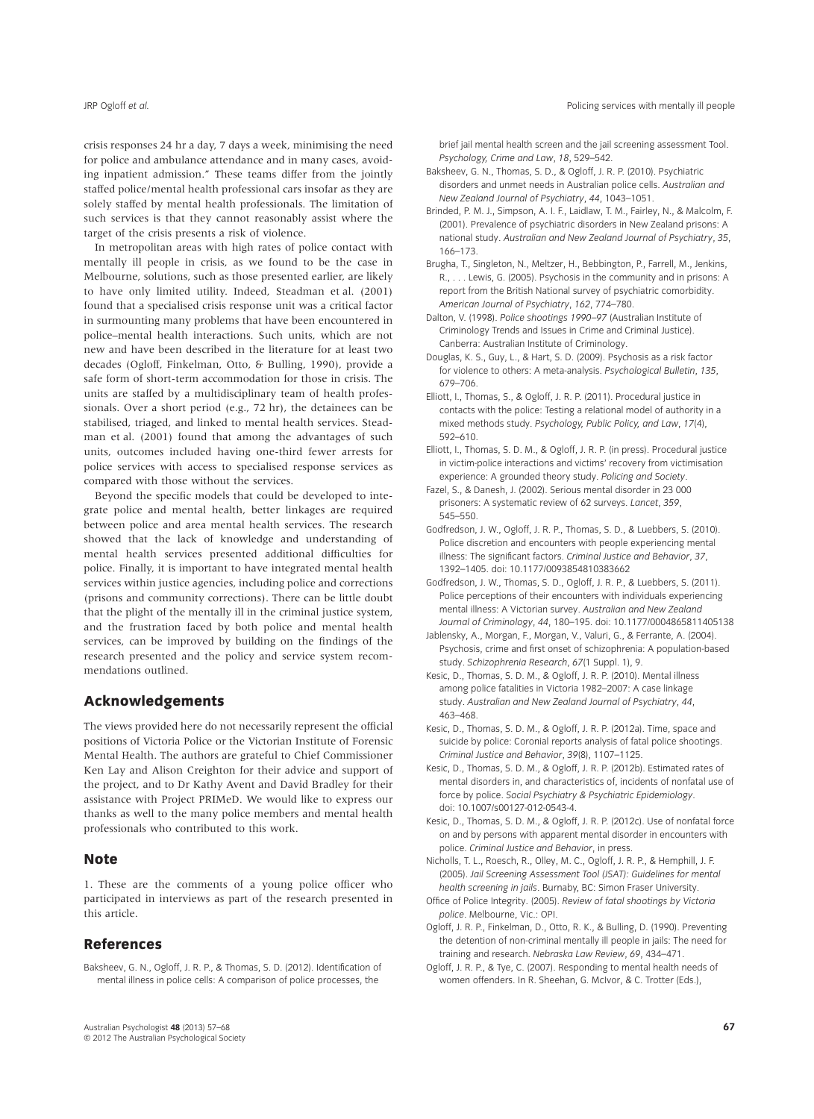crisis responses 24 hr a day, 7 days a week, minimising the need for police and ambulance attendance and in many cases, avoiding inpatient admission." These teams differ from the jointly staffed police/mental health professional cars insofar as they are solely staffed by mental health professionals. The limitation of such services is that they cannot reasonably assist where the target of the crisis presents a risk of violence.

In metropolitan areas with high rates of police contact with mentally ill people in crisis, as we found to be the case in Melbourne, solutions, such as those presented earlier, are likely to have only limited utility. Indeed, Steadman et al. (2001) found that a specialised crisis response unit was a critical factor in surmounting many problems that have been encountered in police–mental health interactions. Such units, which are not new and have been described in the literature for at least two decades (Ogloff, Finkelman, Otto, & Bulling, 1990), provide a safe form of short-term accommodation for those in crisis. The units are staffed by a multidisciplinary team of health professionals. Over a short period (e.g., 72 hr), the detainees can be stabilised, triaged, and linked to mental health services. Steadman et al. (2001) found that among the advantages of such units, outcomes included having one-third fewer arrests for police services with access to specialised response services as compared with those without the services.

Beyond the specific models that could be developed to integrate police and mental health, better linkages are required between police and area mental health services. The research showed that the lack of knowledge and understanding of mental health services presented additional difficulties for police. Finally, it is important to have integrated mental health services within justice agencies, including police and corrections (prisons and community corrections). There can be little doubt that the plight of the mentally ill in the criminal justice system, and the frustration faced by both police and mental health services, can be improved by building on the findings of the research presented and the policy and service system recommendations outlined.

# **Acknowledgements**

The views provided here do not necessarily represent the official positions of Victoria Police or the Victorian Institute of Forensic Mental Health. The authors are grateful to Chief Commissioner Ken Lay and Alison Creighton for their advice and support of the project, and to Dr Kathy Avent and David Bradley for their assistance with Project PRIMeD. We would like to express our thanks as well to the many police members and mental health professionals who contributed to this work.

#### **Note**

1. These are the comments of a young police officer who participated in interviews as part of the research presented in this article.

# **References**

Baksheev, G. N., Ogloff, J. R. P., & Thomas, S. D. (2012). Identification of mental illness in police cells: A comparison of police processes, the

© 2012 The Australian Psychological Society

brief jail mental health screen and the jail screening assessment Tool. *Psychology, Crime and Law*, *18*, 529–542.

- Baksheev, G. N., Thomas, S. D., & Ogloff, J. R. P. (2010). Psychiatric disorders and unmet needs in Australian police cells. *Australian and New Zealand Journal of Psychiatry*, *44*, 1043–1051.
- Brinded, P. M. J., Simpson, A. I. F., Laidlaw, T. M., Fairley, N., & Malcolm, F. (2001). Prevalence of psychiatric disorders in New Zealand prisons: A national study. *Australian and New Zealand Journal of Psychiatry*, *35*, 166–173.
- Brugha, T., Singleton, N., Meltzer, H., Bebbington, P., Farrell, M., Jenkins, R., . . . Lewis, G. (2005). Psychosis in the community and in prisons: A report from the British National survey of psychiatric comorbidity. *American Journal of Psychiatry*, *162*, 774–780.
- Dalton, V. (1998). *Police shootings 1990–97* (Australian Institute of Criminology Trends and Issues in Crime and Criminal Justice). Canberra: Australian Institute of Criminology.
- Douglas, K. S., Guy, L., & Hart, S. D. (2009). Psychosis as a risk factor for violence to others: A meta-analysis. *Psychological Bulletin*, *135*, 679–706.
- Elliott, I., Thomas, S., & Ogloff, J. R. P. (2011). Procedural justice in contacts with the police: Testing a relational model of authority in a mixed methods study. *Psychology, Public Policy, and Law*, *17*(4), 592–610.
- Elliott, I., Thomas, S. D. M., & Ogloff, J. R. P. (in press). Procedural justice in victim-police interactions and victims' recovery from victimisation experience: A grounded theory study. *Policing and Society*.
- Fazel, S., & Danesh, J. (2002). Serious mental disorder in 23 000 prisoners: A systematic review of 62 surveys. *Lancet*, *359*, 545–550.
- Godfredson, J. W., Ogloff, J. R. P., Thomas, S. D., & Luebbers, S. (2010). Police discretion and encounters with people experiencing mental illness: The significant factors. *Criminal Justice and Behavior*, *37*, 1392–1405. doi: 10.1177/0093854810383662
- Godfredson, J. W., Thomas, S. D., Ogloff, J. R. P., & Luebbers, S. (2011). Police perceptions of their encounters with individuals experiencing mental illness: A Victorian survey. *Australian and New Zealand Journal of Criminology*, *44*, 180–195. doi: 10.1177/0004865811405138
- Jablensky, A., Morgan, F., Morgan, V., Valuri, G., & Ferrante, A. (2004). Psychosis, crime and first onset of schizophrenia: A population-based study. *Schizophrenia Research*, *67*(1 Suppl. 1), 9.
- Kesic, D., Thomas, S. D. M., & Ogloff, J. R. P. (2010). Mental illness among police fatalities in Victoria 1982–2007: A case linkage study. *Australian and New Zealand Journal of Psychiatry*, *44*, 463–468.
- Kesic, D., Thomas, S. D. M., & Ogloff, J. R. P. (2012a). Time, space and suicide by police: Coronial reports analysis of fatal police shootings. *Criminal Justice and Behavior*, *39*(8), 1107–1125.
- Kesic, D., Thomas, S. D. M., & Ogloff, J. R. P. (2012b). Estimated rates of mental disorders in, and characteristics of, incidents of nonfatal use of force by police. *Social Psychiatry & Psychiatric Epidemiology*. doi: 10.1007/s00127-012-0543-4.
- Kesic, D., Thomas, S. D. M., & Ogloff, J. R. P. (2012c). Use of nonfatal force on and by persons with apparent mental disorder in encounters with police. *Criminal Justice and Behavior*, in press.
- Nicholls, T. L., Roesch, R., Olley, M. C., Ogloff, J. R. P., & Hemphill, J. F. (2005). *Jail Screening Assessment Tool (JSAT): Guidelines for mental health screening in jails*. Burnaby, BC: Simon Fraser University.
- Office of Police Integrity. (2005). *Review of fatal shootings by Victoria police*. Melbourne, Vic.: OPI.
- Ogloff, J. R. P., Finkelman, D., Otto, R. K., & Bulling, D. (1990). Preventing the detention of non-criminal mentally ill people in jails: The need for training and research. *Nebraska Law Review*, *69*, 434–471.
- Ogloff, J. R. P., & Tye, C. (2007). Responding to mental health needs of women offenders. In R. Sheehan, G. McIvor, & C. Trotter (Eds.),